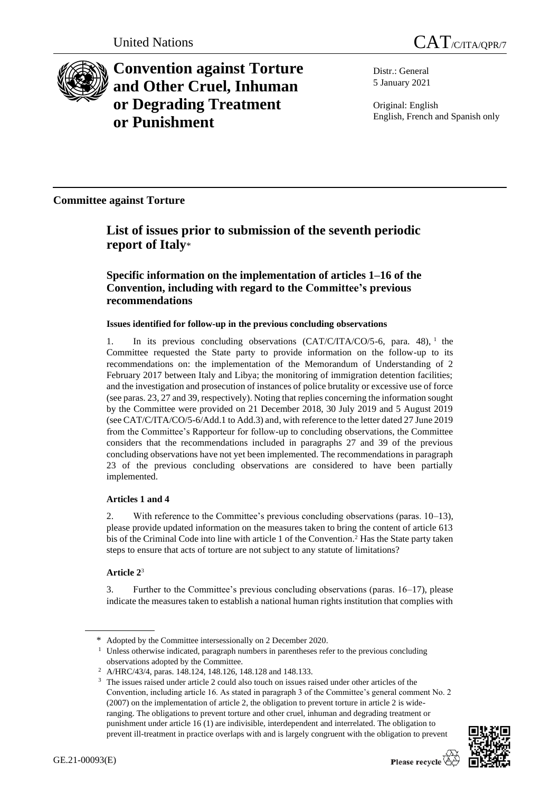

**Convention against Torture and Other Cruel, Inhuman or Degrading Treatment or Punishment**

Distr.: General 5 January 2021

Original: English English, French and Spanish only

**Committee against Torture**

# **List of issues prior to submission of the seventh periodic report of Italy**\*

# **Specific information on the implementation of articles 1–16 of the Convention, including with regard to the Committee's previous recommendations**

# **Issues identified for follow-up in the previous concluding observations**

1. In its previous concluding observations (CAT/C/ITA/CO/5-6, para. 48), <sup>1</sup> the Committee requested the State party to provide information on the follow-up to its recommendations on: the implementation of the Memorandum of Understanding of 2 February 2017 between Italy and Libya; the monitoring of immigration detention facilities; and the investigation and prosecution of instances of police brutality or excessive use of force (see paras. 23, 27 and 39, respectively). Noting that replies concerning the information sought by the Committee were provided on 21 December 2018, 30 July 2019 and 5 August 2019 (see CAT/C/ITA/CO/5-6/Add.1 to Add.3) and, with reference to the letter dated 27 June 2019 from the Committee's Rapporteur for follow-up to concluding observations, the Committee considers that the recommendations included in paragraphs 27 and 39 of the previous concluding observations have not yet been implemented. The recommendations in paragraph 23 of the previous concluding observations are considered to have been partially implemented.

# **Articles 1 and 4**

2. With reference to the Committee's previous concluding observations (paras. 10–13), please provide updated information on the measures taken to bring the content of article 613 bis of the Criminal Code into line with article 1 of the Convention.<sup>2</sup> Has the State party taken steps to ensure that acts of torture are not subject to any statute of limitations?

# **Article 2**<sup>3</sup>

3. Further to the Committee's previous concluding observations (paras. 16–17), please indicate the measures taken to establish a national human rights institution that complies with

<sup>&</sup>lt;sup>3</sup> The issues raised under article 2 could also touch on issues raised under other articles of the Convention, including article 16. As stated in paragraph 3 of the Committee's general comment No. 2 (2007) on the implementation of article 2, the obligation to prevent torture in article 2 is wideranging. The obligations to prevent torture and other cruel, inhuman and degrading treatment or punishment under article 16 (1) are indivisible, interdependent and interrelated. The obligation to prevent ill-treatment in practice overlaps with and is largely congruent with the obligation to prevent



<sup>\*</sup> Adopted by the Committee intersessionally on 2 December 2020.

<sup>&</sup>lt;sup>1</sup> Unless otherwise indicated, paragraph numbers in parentheses refer to the previous concluding observations adopted by the Committee.

<sup>2</sup> A/HRC/43/4, paras. 148.124, 148.126, 148.128 and 148.133.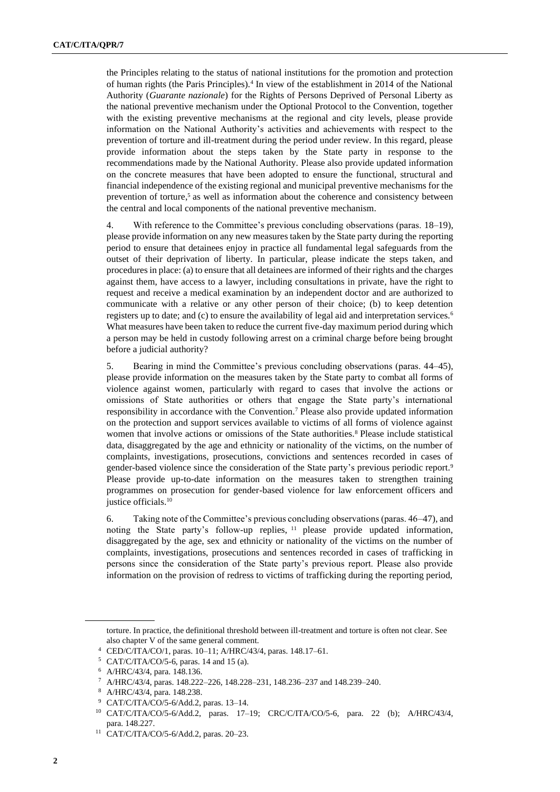the Principles relating to the status of national institutions for the promotion and protection of human rights (the Paris Principles).<sup>4</sup> In view of the establishment in 2014 of the National Authority (*Guarante nazionale*) for the Rights of Persons Deprived of Personal Liberty as the national preventive mechanism under the Optional Protocol to the Convention, together with the existing preventive mechanisms at the regional and city levels, please provide information on the National Authority's activities and achievements with respect to the prevention of torture and ill-treatment during the period under review. In this regard, please provide information about the steps taken by the State party in response to the recommendations made by the National Authority. Please also provide updated information on the concrete measures that have been adopted to ensure the functional, structural and financial independence of the existing regional and municipal preventive mechanisms for the prevention of torture, <sup>5</sup> as well as information about the coherence and consistency between the central and local components of the national preventive mechanism.

4. With reference to the Committee's previous concluding observations (paras. 18–19), please provide information on any new measures taken by the State party during the reporting period to ensure that detainees enjoy in practice all fundamental legal safeguards from the outset of their deprivation of liberty. In particular, please indicate the steps taken, and procedures in place: (a) to ensure that all detainees are informed of their rights and the charges against them, have access to a lawyer, including consultations in private, have the right to request and receive a medical examination by an independent doctor and are authorized to communicate with a relative or any other person of their choice; (b) to keep detention registers up to date; and (c) to ensure the availability of legal aid and interpretation services.<sup>6</sup> What measures have been taken to reduce the current five-day maximum period during which a person may be held in custody following arrest on a criminal charge before being brought before a judicial authority?

5. Bearing in mind the Committee's previous concluding observations (paras. 44–45), please provide information on the measures taken by the State party to combat all forms of violence against women, particularly with regard to cases that involve the actions or omissions of State authorities or others that engage the State party's international responsibility in accordance with the Convention.<sup>7</sup> Please also provide updated information on the protection and support services available to victims of all forms of violence against women that involve actions or omissions of the State authorities.<sup>8</sup> Please include statistical data, disaggregated by the age and ethnicity or nationality of the victims, on the number of complaints, investigations, prosecutions, convictions and sentences recorded in cases of gender-based violence since the consideration of the State party's previous periodic report.<sup>9</sup> Please provide up-to-date information on the measures taken to strengthen training programmes on prosecution for gender-based violence for law enforcement officers and justice officials.<sup>10</sup>

6. Taking note of the Committee's previous concluding observations (paras. 46–47), and noting the State party's follow-up replies, <sup>11</sup> please provide updated information, disaggregated by the age, sex and ethnicity or nationality of the victims on the number of complaints, investigations, prosecutions and sentences recorded in cases of trafficking in persons since the consideration of the State party's previous report. Please also provide information on the provision of redress to victims of trafficking during the reporting period,

torture. In practice, the definitional threshold between ill-treatment and torture is often not clear. See also chapter V of the same general comment.

<sup>4</sup> CED/C/ITA/CO/1, paras. 10–11; A/HRC/43/4, paras. 148.17–61.

<sup>5</sup> CAT/C/ITA/CO/5-6, paras. 14 and 15 (a).

<sup>6</sup> A/HRC/43/4, para. 148.136.

<sup>7</sup> A/HRC/43/4, paras. 148.222–226, 148.228–231, 148.236–237 and 148.239–240.

<sup>8</sup> A/HRC/43/4, para. 148.238.

<sup>9</sup> CAT/C/ITA/CO/5-6/Add.2, paras. 13–14.

<sup>10</sup> CAT/C/ITA/CO/5-6/Add.2, paras. 17–19; CRC/C/ITA/CO/5-6, para. 22 (b); A/HRC/43/4, para. 148.227.

<sup>11</sup> CAT/C/ITA/CO/5-6/Add.2, paras. 20–23.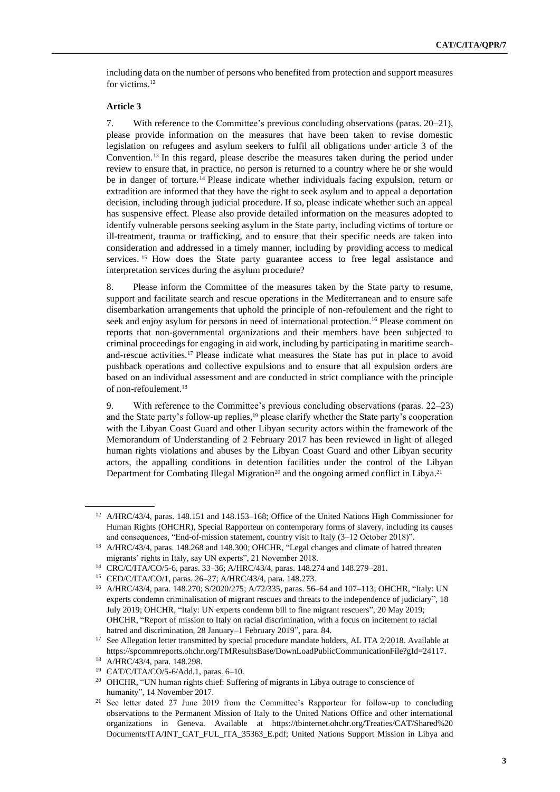including data on the number of persons who benefited from protection and support measures for victims.<sup>12</sup>

### **Article 3**

7. With reference to the Committee's previous concluding observations (paras. 20–21), please provide information on the measures that have been taken to revise domestic legislation on refugees and asylum seekers to fulfil all obligations under article 3 of the Convention.<sup>13</sup> In this regard, please describe the measures taken during the period under review to ensure that, in practice, no person is returned to a country where he or she would be in danger of torture.<sup>14</sup> Please indicate whether individuals facing expulsion, return or extradition are informed that they have the right to seek asylum and to appeal a deportation decision, including through judicial procedure. If so, please indicate whether such an appeal has suspensive effect. Please also provide detailed information on the measures adopted to identify vulnerable persons seeking asylum in the State party, including victims of torture or ill-treatment, trauma or trafficking, and to ensure that their specific needs are taken into consideration and addressed in a timely manner, including by providing access to medical services. <sup>15</sup> How does the State party guarantee access to free legal assistance and interpretation services during the asylum procedure?

8. Please inform the Committee of the measures taken by the State party to resume, support and facilitate search and rescue operations in the Mediterranean and to ensure safe disembarkation arrangements that uphold the principle of non-refoulement and the right to seek and enjoy asylum for persons in need of international protection.<sup>16</sup> Please comment on reports that non-governmental organizations and their members have been subjected to criminal proceedings for engaging in aid work, including by participating in maritime searchand-rescue activities.<sup>17</sup> Please indicate what measures the State has put in place to avoid pushback operations and collective expulsions and to ensure that all expulsion orders are based on an individual assessment and are conducted in strict compliance with the principle of non-refoulement.<sup>18</sup>

9. With reference to the Committee's previous concluding observations (paras. 22–23) and the State party's follow-up replies, <sup>19</sup> please clarify whether the State party's cooperation with the Libyan Coast Guard and other Libyan security actors within the framework of the Memorandum of Understanding of 2 February 2017 has been reviewed in light of alleged human rights violations and abuses by the Libyan Coast Guard and other Libyan security actors, the appalling conditions in detention facilities under the control of the Libyan Department for Combating Illegal Migration<sup>20</sup> and the ongoing armed conflict in Libya.<sup>21</sup>

<sup>12</sup> A/HRC/43/4, paras. 148.151 and 148.153–168; Office of the United Nations High Commissioner for Human Rights (OHCHR), Special Rapporteur on contemporary forms of slavery, including its causes and consequences, "End-of-mission statement, country visit to Italy (3–12 October 2018)".

<sup>&</sup>lt;sup>13</sup> A/HRC/43/4, paras. 148.268 and 148.300; OHCHR, "Legal changes and climate of hatred threaten migrants' rights in Italy, say UN experts", 21 November 2018.

<sup>14</sup> CRC/C/ITA/CO/5-6, paras. 33–36; A/HRC/43/4, paras. 148.274 and 148.279–281.

<sup>15</sup> CED/C/ITA/CO/1, paras. 26–27; A/HRC/43/4, para. 148.273.

<sup>16</sup> A/HRC/43/4, para. 148.270; S/2020/275; A/72/335, paras. 56–64 and 107–113; OHCHR, "Italy: UN experts condemn criminalisation of migrant rescues and threats to the independence of judiciary", 18 July 2019; OHCHR, "Italy: UN experts condemn bill to fine migrant rescuers", 20 May 2019; OHCHR, "Report of mission to Italy on racial discrimination, with a focus on incitement to racial hatred and discrimination, 28 January–1 February 2019", para. 84.

<sup>&</sup>lt;sup>17</sup> See Allegation letter transmitted by special procedure mandate holders, AL ITA 2/2018. Available at https://spcommreports.ohchr.org/TMResultsBase/DownLoadPublicCommunicationFile?gId=24117.

<sup>18</sup> A/HRC/43/4, para. 148.298.

<sup>19</sup> CAT/C/ITA/CO/5-6/Add.1, paras. 6–10.

<sup>20</sup> OHCHR, "UN human rights chief: Suffering of migrants in Libya outrage to conscience of humanity", 14 November 2017.

<sup>&</sup>lt;sup>21</sup> See letter dated 27 June 2019 from the Committee's Rapporteur for follow-up to concluding observations to the Permanent Mission of Italy to the United Nations Office and other international organizations in Geneva. Available at https://tbinternet.ohchr.org/Treaties/CAT/Shared%20 Documents/ITA/INT\_CAT\_FUL\_ITA\_35363\_E.pdf; United Nations Support Mission in Libya and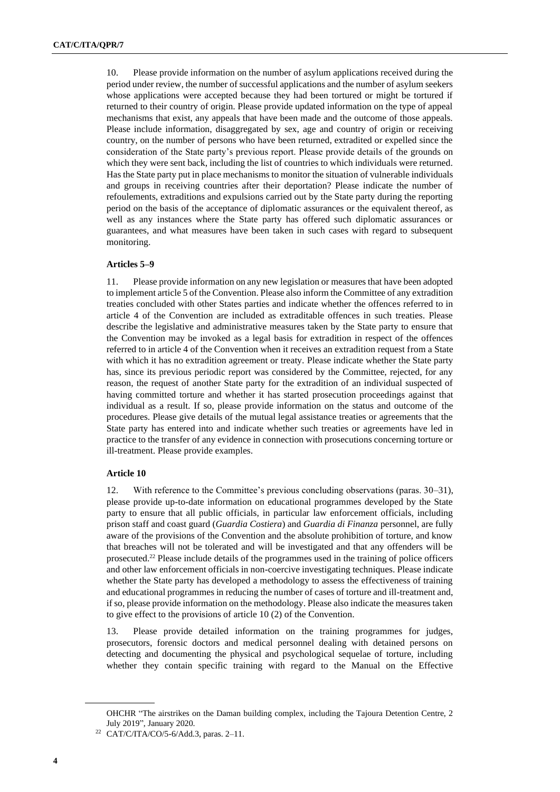10. Please provide information on the number of asylum applications received during the period under review, the number of successful applications and the number of asylum seekers whose applications were accepted because they had been tortured or might be tortured if returned to their country of origin. Please provide updated information on the type of appeal mechanisms that exist, any appeals that have been made and the outcome of those appeals. Please include information, disaggregated by sex, age and country of origin or receiving country, on the number of persons who have been returned, extradited or expelled since the consideration of the State party's previous report. Please provide details of the grounds on which they were sent back, including the list of countries to which individuals were returned. Has the State party put in place mechanisms to monitor the situation of vulnerable individuals and groups in receiving countries after their deportation? Please indicate the number of refoulements, extraditions and expulsions carried out by the State party during the reporting period on the basis of the acceptance of diplomatic assurances or the equivalent thereof, as well as any instances where the State party has offered such diplomatic assurances or guarantees, and what measures have been taken in such cases with regard to subsequent monitoring.

#### **Articles 5–9**

11. Please provide information on any new legislation or measures that have been adopted to implement article 5 of the Convention. Please also inform the Committee of any extradition treaties concluded with other States parties and indicate whether the offences referred to in article 4 of the Convention are included as extraditable offences in such treaties. Please describe the legislative and administrative measures taken by the State party to ensure that the Convention may be invoked as a legal basis for extradition in respect of the offences referred to in article 4 of the Convention when it receives an extradition request from a State with which it has no extradition agreement or treaty. Please indicate whether the State party has, since its previous periodic report was considered by the Committee, rejected, for any reason, the request of another State party for the extradition of an individual suspected of having committed torture and whether it has started prosecution proceedings against that individual as a result. If so, please provide information on the status and outcome of the procedures. Please give details of the mutual legal assistance treaties or agreements that the State party has entered into and indicate whether such treaties or agreements have led in practice to the transfer of any evidence in connection with prosecutions concerning torture or ill-treatment. Please provide examples.

#### **Article 10**

12. With reference to the Committee's previous concluding observations (paras. 30–31), please provide up-to-date information on educational programmes developed by the State party to ensure that all public officials, in particular law enforcement officials, including prison staff and coast guard (*Guardia Costiera*) and *Guardia di Finanza* personnel, are fully aware of the provisions of the Convention and the absolute prohibition of torture, and know that breaches will not be tolerated and will be investigated and that any offenders will be prosecuted.<sup>22</sup> Please include details of the programmes used in the training of police officers and other law enforcement officials in non-coercive investigating techniques. Please indicate whether the State party has developed a methodology to assess the effectiveness of training and educational programmes in reducing the number of cases of torture and ill-treatment and, if so, please provide information on the methodology. Please also indicate the measures taken to give effect to the provisions of article 10 (2) of the Convention.

13. Please provide detailed information on the training programmes for judges, prosecutors, forensic doctors and medical personnel dealing with detained persons on detecting and documenting the physical and psychological sequelae of torture, including whether they contain specific training with regard to the Manual on the Effective

OHCHR "The airstrikes on the Daman building complex, including the Tajoura Detention Centre, 2 July 2019", January 2020.

<sup>22</sup> CAT/C/ITA/CO/5-6/Add.3, paras. 2–11.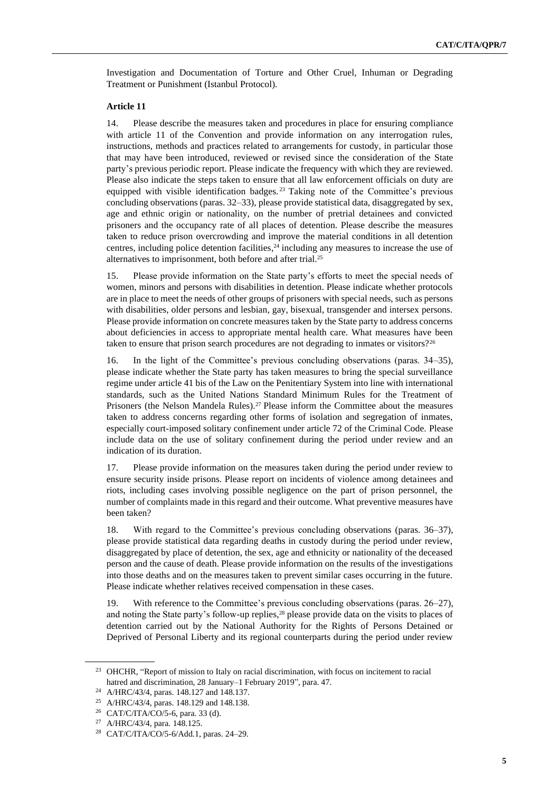Investigation and Documentation of Torture and Other Cruel, Inhuman or Degrading Treatment or Punishment (Istanbul Protocol).

#### **Article 11**

14. Please describe the measures taken and procedures in place for ensuring compliance with article 11 of the Convention and provide information on any interrogation rules, instructions, methods and practices related to arrangements for custody, in particular those that may have been introduced, reviewed or revised since the consideration of the State party's previous periodic report. Please indicate the frequency with which they are reviewed. Please also indicate the steps taken to ensure that all law enforcement officials on duty are equipped with visible identification badges.<sup>23</sup> Taking note of the Committee's previous concluding observations (paras. 32–33), please provide statistical data, disaggregated by sex, age and ethnic origin or nationality, on the number of pretrial detainees and convicted prisoners and the occupancy rate of all places of detention. Please describe the measures taken to reduce prison overcrowding and improve the material conditions in all detention centres, including police detention facilities, <sup>24</sup> including any measures to increase the use of alternatives to imprisonment, both before and after trial.<sup>25</sup>

15. Please provide information on the State party's efforts to meet the special needs of women, minors and persons with disabilities in detention. Please indicate whether protocols are in place to meet the needs of other groups of prisoners with special needs, such as persons with disabilities, older persons and lesbian, gay, bisexual, transgender and intersex persons. Please provide information on concrete measures taken by the State party to address concerns about deficiencies in access to appropriate mental health care. What measures have been taken to ensure that prison search procedures are not degrading to inmates or visitors?<sup>26</sup>

16. In the light of the Committee's previous concluding observations (paras. 34–35), please indicate whether the State party has taken measures to bring the special surveillance regime under article 41 bis of the Law on the Penitentiary System into line with international standards, such as the United Nations Standard Minimum Rules for the Treatment of Prisoners (the Nelson Mandela Rules).<sup>27</sup> Please inform the Committee about the measures taken to address concerns regarding other forms of isolation and segregation of inmates, especially court-imposed solitary confinement under article 72 of the Criminal Code. Please include data on the use of solitary confinement during the period under review and an indication of its duration.

17. Please provide information on the measures taken during the period under review to ensure security inside prisons. Please report on incidents of violence among detainees and riots, including cases involving possible negligence on the part of prison personnel, the number of complaints made in this regard and their outcome. What preventive measures have been taken?

18. With regard to the Committee's previous concluding observations (paras. 36–37), please provide statistical data regarding deaths in custody during the period under review, disaggregated by place of detention, the sex, age and ethnicity or nationality of the deceased person and the cause of death. Please provide information on the results of the investigations into those deaths and on the measures taken to prevent similar cases occurring in the future. Please indicate whether relatives received compensation in these cases.

19. With reference to the Committee's previous concluding observations (paras. 26–27), and noting the State party's follow-up replies, <sup>28</sup> please provide data on the visits to places of detention carried out by the National Authority for the Rights of Persons Detained or Deprived of Personal Liberty and its regional counterparts during the period under review

<sup>&</sup>lt;sup>23</sup> OHCHR, "Report of mission to Italy on racial discrimination, with focus on incitement to racial hatred and discrimination, 28 January–1 February 2019", para. 47.

<sup>24</sup> A/HRC/43/4, paras. 148.127 and 148.137.

<sup>25</sup> A/HRC/43/4, paras. 148.129 and 148.138.

<sup>26</sup> CAT/C/ITA/CO/5-6, para. 33 (d).

<sup>27</sup> A/HRC/43/4, para. 148.125.

<sup>28</sup> CAT/C/ITA/CO/5-6/Add.1, paras. 24–29.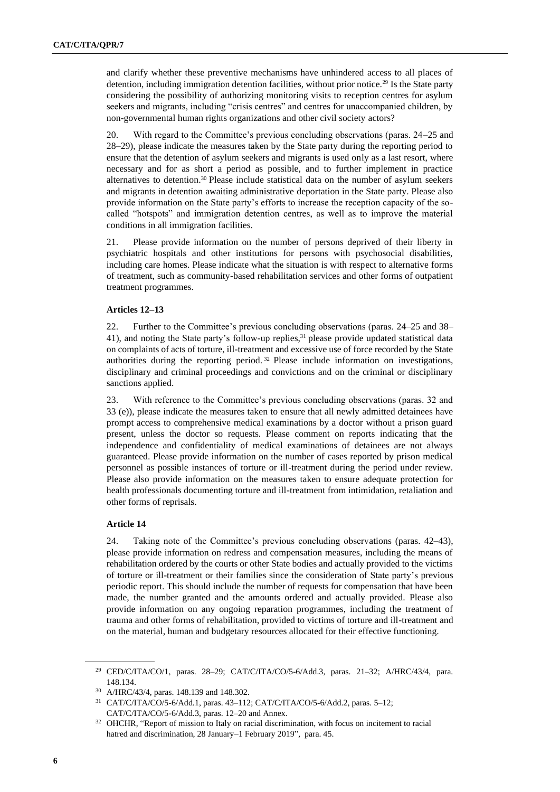and clarify whether these preventive mechanisms have unhindered access to all places of detention, including immigration detention facilities, without prior notice.<sup>29</sup> Is the State party considering the possibility of authorizing monitoring visits to reception centres for asylum seekers and migrants, including "crisis centres" and centres for unaccompanied children, by non-governmental human rights organizations and other civil society actors?

20. With regard to the Committee's previous concluding observations (paras. 24–25 and 28–29), please indicate the measures taken by the State party during the reporting period to ensure that the detention of asylum seekers and migrants is used only as a last resort, where necessary and for as short a period as possible, and to further implement in practice alternatives to detention.<sup>30</sup> Please include statistical data on the number of asylum seekers and migrants in detention awaiting administrative deportation in the State party. Please also provide information on the State party's efforts to increase the reception capacity of the socalled "hotspots" and immigration detention centres, as well as to improve the material conditions in all immigration facilities.

21. Please provide information on the number of persons deprived of their liberty in psychiatric hospitals and other institutions for persons with psychosocial disabilities, including care homes. Please indicate what the situation is with respect to alternative forms of treatment, such as community-based rehabilitation services and other forms of outpatient treatment programmes.

### **Articles 12–13**

22. Further to the Committee's previous concluding observations (paras. 24–25 and 38– 41), and noting the State party's follow-up replies, <sup>31</sup> please provide updated statistical data on complaints of acts of torture, ill-treatment and excessive use of force recorded by the State authorities during the reporting period. <sup>32</sup> Please include information on investigations, disciplinary and criminal proceedings and convictions and on the criminal or disciplinary sanctions applied.

23. With reference to the Committee's previous concluding observations (paras. 32 and 33 (e)), please indicate the measures taken to ensure that all newly admitted detainees have prompt access to comprehensive medical examinations by a doctor without a prison guard present, unless the doctor so requests. Please comment on reports indicating that the independence and confidentiality of medical examinations of detainees are not always guaranteed. Please provide information on the number of cases reported by prison medical personnel as possible instances of torture or ill-treatment during the period under review. Please also provide information on the measures taken to ensure adequate protection for health professionals documenting torture and ill-treatment from intimidation, retaliation and other forms of reprisals.

### **Article 14**

24. Taking note of the Committee's previous concluding observations (paras. 42–43), please provide information on redress and compensation measures, including the means of rehabilitation ordered by the courts or other State bodies and actually provided to the victims of torture or ill-treatment or their families since the consideration of State party's previous periodic report. This should include the number of requests for compensation that have been made, the number granted and the amounts ordered and actually provided. Please also provide information on any ongoing reparation programmes, including the treatment of trauma and other forms of rehabilitation, provided to victims of torture and ill-treatment and on the material, human and budgetary resources allocated for their effective functioning.

<sup>29</sup> CED/C/ITA/CO/1, paras. 28–29; CAT/C/ITA/CO/5-6/Add.3, paras. 21–32; A/HRC/43/4, para. 148.134.

<sup>30</sup> A/HRC/43/4, paras. 148.139 and 148.302.

<sup>31</sup> CAT/C/ITA/CO/5-6/Add.1, paras. 43–112; CAT/C/ITA/CO/5-6/Add.2, paras. 5–12; CAT/C/ITA/CO/5-6/Add.3, paras. 12–20 and Annex.

<sup>&</sup>lt;sup>32</sup> OHCHR, "Report of mission to Italy on racial discrimination, with focus on incitement to racial hatred and discrimination, 28 January-1 February 2019", para. 45.